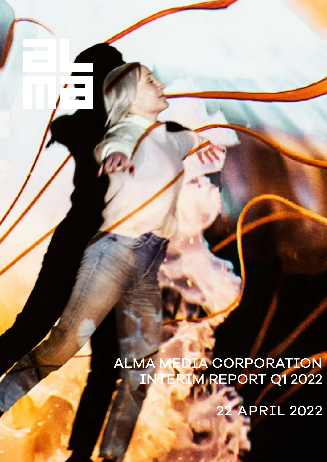# 22 APRIL 2022

# ALMA MEDIA CORPORATION INTERIM REPORT Q1 2022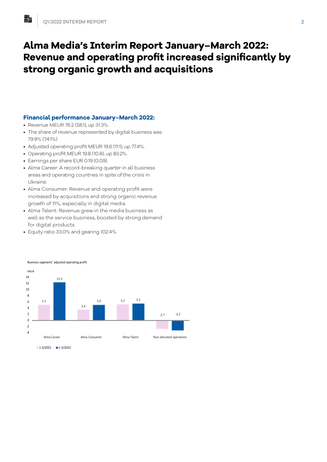## **Alma Media's Interim Report January–March 2022: Revenue and operating profit increased significantly by strong organic growth and acquisitions**

## **Financial performance January–March 2022:**

- Revenue MEUR 76.2 (58.1), up 31.3%.
- The share of revenue represented by digital business was 79.9% (74.1%)
- Adjusted operating profit MEUR 19.6 (11.1), up 77.4%.
- Operating profit MEUR 19.8 (10.8), up 83.2%.
- Earnings per share EUR 0.19 (0.09).
- Alma Career: A record-breaking quarter in all business areas and operating countries in spite of the crisis in Ukraine.
- Alma Consumer: Revenue and operating profit were increased by acquisitions and strong organic revenue growth of 11%, especially in digital media.
- Alma Talent: Revenue grew in the media business as well as the service business, boosted by strong demand for digital products.
- Equity ratio 33.0% and gearing 102.4%.

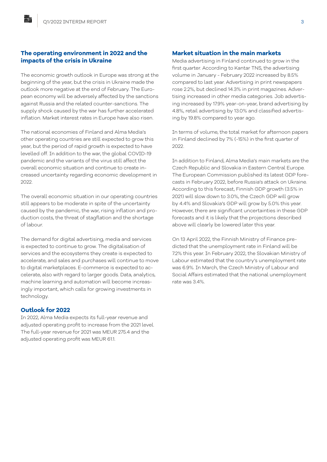#### **The operating environment in 2022 and the impacts of the crisis in Ukraine**

The economic growth outlook in Europe was strong at the beginning of the year, but the crisis in Ukraine made the outlook more negative at the end of February. The European economy will be adversely affected by the sanctions against Russia and the related counter-sanctions. The supply shock caused by the war has further accelerated inflation. Market interest rates in Europe have also risen.

The national economies of Finland and Alma Media's other operating countries are still expected to grow this year, but the period of rapid growth is expected to have levelled off. In addition to the war, the global COVID-19 pandemic and the variants of the virus still affect the overall economic situation and continue to create increased uncertainty regarding economic development in 2022.

The overall economic situation in our operating countries still appears to be moderate in spite of the uncertainty caused by the pandemic, the war, rising inflation and production costs, the threat of stagflation and the shortage of labour.

The demand for digital advertising, media and services is expected to continue to grow. The digitalisation of services and the ecosystems they create is expected to accelerate, and sales and purchases will continue to move to digital marketplaces. E-commerce is expected to accelerate, also with regard to larger goods. Data, analytics, machine learning and automation will become increasingly important, which calls for growing investments in technology.

#### **Outlook for 2022**

In 2022, Alma Media expects its full-year revenue and adjusted operating profit to increase from the 2021 level. The full-year revenue for 2021 was MEUR 275.4 and the adjusted operating profit was MEUR 61.1.

#### **Market situation in the main markets**

Media advertising in Finland continued to grow in the first quarter. According to Kantar TNS, the advertising volume in January - February 2022 increased by 8.5% compared to last year. Advertising in print newspapers rose 2.2%, but declined 14.3% in print magazines. Advertising increased in other media categories. Job advertising increased by 17.9% year-on-year, brand advertising by 4.8%, retail advertising by 13.0% and classified advertising by 19.8% compared to year ago.

In terms of volume, the total market for afternoon papers in Finland declined by 7% (-15%) in the first quarter of 2022.

In addition to Finland, Alma Media's main markets are the Czech Republic and Slovakia in Eastern Central Europe. The European Commission published its latest GDP forecasts in February 2022, before Russia's attack on Ukraine. According to this forecast, Finnish GDP growth (3.5% in 2021) will slow down to 3.0%, the Czech GDP will grow by 4.4% and Slovakia's GDP will grow by 5.0% this year. However, there are significant uncertainties in these GDP forecasts and it is likely that the projections described above will clearly be lowered later this year.

On 13 April 2022, the Finnish Ministry of Finance predicted that the unemployment rate in Finland will be 7.2% this year. In February 2022, the Slovakian Ministry of Labour estimated that the country's unemployment rate was 6.9%. In March, the Czech Ministry of Labour and Social Affairs estimated that the national unemployment rate was 3.4%.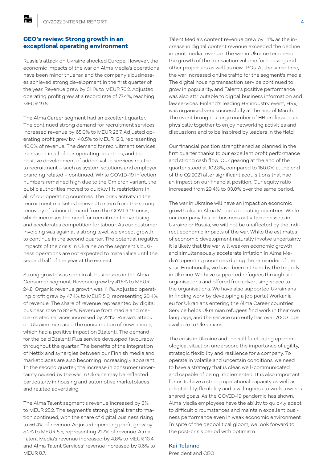#### **CEO's review: Strong growth in an exceptional operating environment**

Russia's attack on Ukraine shocked Europe. However, the economic impacts of the war on Alma Media's operations have been minor thus far, and the company's businesses achieved strong development in the first quarter of the year. Revenue grew by 31.1% to MEUR 76.2. Adjusted operating profit grew at a record rate of 77.4%, reaching MEUR 19.6.

The Alma Career segment had an excellent quarter. The continued strong demand for recruitment services increased revenue by 65.0% to MEUR 26.7. Adjusted operating profit grew by 140.5% to MEUR 12.3, representing 46.0% of revenue. The demand for recruitment services increased in all of our operating countries, and the positive development of added-value services related to recruitment – such as system solutions and employer branding related – continued. While COVID-19 infection numbers remained high due to the Omicron variant, the public authorities moved to quickly lift restrictions in all of our operating countries. The brisk activity in the recruitment market is believed to stem from the strong recovery of labour demand from the COVID-19 crisis, which increases the need for recruitment advertising and accelerates competition for labour. As our customer invoicing was again at a strong level, we expect growth to continue in the second quarter. The potential negative impacts of the crisis in Ukraine on the segment's business operations are not expected to materialise until the second half of the year at the earliest.

Strong growth was seen in all businesses in the Alma Consumer segment. Revenue grew by 41.5% to MEUR 24.8. Organic revenue growth was 11.1%. Adjusted operating profit grew by 47.4% to MEUR 5.0, representing 20.4% of revenue. The share of revenue represented by digital business rose to 82.9%. Revenue from media and media-related services increased by 22.1%. Russia's attack on Ukraine increased the consumption of news media, which had a positive impact on Iltalehti. The demand for the paid Iltalehti Plus service developed favourably throughout the quarter. The benefits of the integration of Nettix and synergies between our Finnish media and marketplaces are also becoming increasingly apparent. In the second quarter, the increase in consumer uncertainty caused by the war in Ukraine may be reflected particularly in housing and automotive marketplaces and related advertising.

The Alma Talent segment's revenue increased by 3% to MEUR 25.2. The segment's strong digital transformation continued, with the share of digital business rising to 56.4% of revenue. Adjusted operating profit grew by 5.2% to MEUR 5.5, representing 21.7% of revenue. Alma Talent Media's revenue increased by 4.8% to MEUR 13.4, and Alma Talent Services' revenue increased by 3.6% to MEUR 8.7.

Talent Media's content revenue grew by 1.1%, as the increase in digital content revenue exceeded the decline in print media revenue. The war in Ukraine tempered the growth of the transaction volume for housing and other properties as well as new IPOs. At the same time, the war increased online traffic for the segment's media. The digital housing transaction service continued to grow in popularity, and Talent's positive performance was also attributable to digital business information and law services. Finland's leading HR industry event, HRx, was organised very successfully at the end of March. The event brought a large number of HR professionals physically together to enjoy networking activities and discussions and to be inspired by leaders in the field.

Our financial position strengthened as planned in the first quarter thanks to our excellent profit performance and strong cash flow. Our gearing at the end of the quarter stood at 102.3%, compared to 160.0% at the end of the Q2 2021 after significant acquisitions that had an impact on our financial position. Our equity ratio increased from 29.4% to 33.0% over the same period.

The war in Ukraine will have an impact on economic growth also in Alma Media's operating countries. While our company has no business activities or assets in Ukraine or Russia, we will not be unaffected by the indirect economic impacts of the war. While the estimates of economic development naturally involve uncertainty, it is likely that the war will weaken economic growth and simultaneously accelerate inflation in Alma Media's operating countries during the remainder of the year. Emotionally, we have been hit hard by the tragedy in Ukraine. We have supported refugees through aid organisations and offered free advertising space to the organisations. We have also supported Ukrainians in finding work by developing a job portal Workania. eu for Ukranians entering the Alma Career countries. Service helps Ukrainian refugees find work in their own language, and the service currently has over 7000 jobs available to Ukrainians.

The crisis in Ukraine and the still fluctuating epidemiological situation underscore the importance of agility, strategic flexibility and resilience for a company. To operate in volatile and uncertain conditions, we need to have a strategy that is clear, well-communicated and capable of being implemented. It is also important for us to have a strong operational capacity as well as adaptability, flexibility and a willingness to work towards shared goals. As the COVID-19 pandemic has shown, Alma Media employees have the ability to quickly adapt to difficult circumstances and maintain excellent business performance even in weak economic environment. In spite of the geopolitical gloom, we look forward to the post-crisis period with optimism.

### Kai Telanne

President and CEO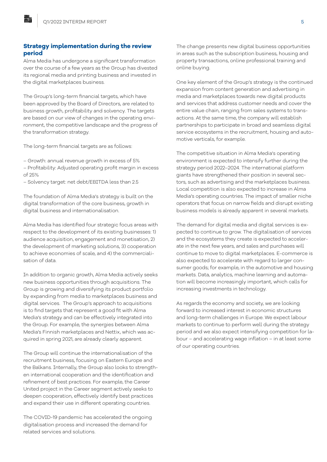## **Strategy implementation during the review period**

Alma Media has undergone a significant transformation over the course of a few years as the Group has divested its regional media and printing business and invested in the digital marketplaces business.

The Group's long-term financial targets, which have been approved by the Board of Directors, are related to business growth, profitability and solvency. The targets are based on our view of changes in the operating environment, the competitive landscape and the progress of the transformation strategy.

The long-term financial targets are as follows:

– Growth: annual revenue growth in excess of 5%

– Profitability: Adjusted operating profit margin in excess of 25%

– Solvency target: net debt/EBITDA less than 2.5

The foundation of Alma Media's strategy is built on the digital transformation of the core business, growth in digital business and internationalisation.

Alma Media has identified four strategic focus areas with respect to the development of its existing businesses: 1) audience acquisition, engagement and monetisation, 2) the development of marketing solutions, 3) cooperation to achieve economies of scale, and 4) the commercialisation of data.

In addition to organic growth, Alma Media actively seeks new business opportunities through acquisitions. The Group is growing and diversifying its product portfolio by expanding from media to marketplaces business and digital services. The Group's approach to acquisitions is to find targets that represent a good fit with Alma Media's strategy and can be effectively integrated into the Group. For example, the synergies between Alma Media's Finnish marketplaces and Nettix, which was acquired in spring 2021, are already clearly apparent.

The Group will continue the internationalisation of the recruitment business, focusing on Eastern Europe and the Balkans. Internally, the Group also looks to strengthen international cooperation and the identification and refinement of best practices. For example, the Career United project in the Career segment actively seeks to deepen cooperation, effectively identify best practices and expand their use in different operating countries.

The COVID-19 pandemic has accelerated the ongoing digitalisation process and increased the demand for related services and solutions.

The change presents new digital business opportunities in areas such as the subscription business, housing and property transactions, online professional training and online buying.

One key element of the Group's strategy is the continued expansion from content generation and advertising in media and marketplaces towards new digital products and services that address customer needs and cover the entire value chain, ranging from sales systems to transactions. At the same time, the company will establish partnerships to participate in broad and seamless digital service ecosystems in the recruitment, housing and automotive verticals, for example.

The competitive situation in Alma Media's operating environment is expected to intensify further during the strategy period 2022–2024. The international platform giants have strengthened their position in several sectors, such as advertising and the marketplaces business. Local competition is also expected to increase in Alma Media's operating countries. The impact of smaller niche operators that focus on narrow fields and disrupt existing business models is already apparent in several markets.

The demand for digital media and digital services is expected to continue to grow. The digitalisation of services and the ecosystems they create is expected to accelerate in the next few years, and sales and purchases will continue to move to digital marketplaces. E-commerce is also expected to accelerate with regard to larger consumer goods; for example, in the automotive and housing markets. Data, analytics, machine learning and automation will become increasingly important, which calls for increasing investments in technology.

As regards the economy and society, we are looking forward to increased interest in economic structures and long-term challenges in Europe. We expect labour markets to continue to perform well during the strategy period and we also expect intensifying competition for labour – and accelerating wage inflation – in at least some of our operating countries.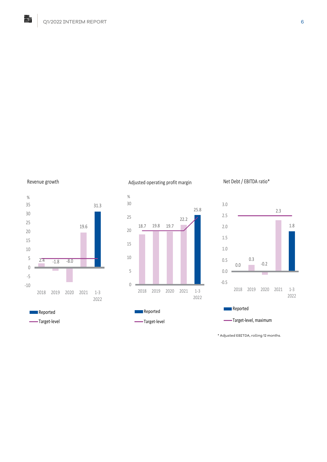#### Revenue growth



#### Adjusted operating profit margin



#### Net Debt / EBITDA ratio\*



Target-level, maximum ċ

\* Adjusted EBITDA, rolling 12 months.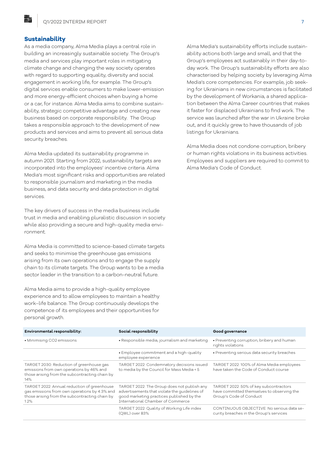#### **Sustainability**

融

As a media company, Alma Media plays a central role in building an increasingly sustainable society. The Group's media and services play important roles in mitigating climate change and changing the way society operates with regard to supporting equality, diversity and social engagement in working life, for example. The Group's digital services enable consumers to make lower-emission and more energy-efficient choices when buying a home or a car, for instance. Alma Media aims to combine sustainability, strategic competitive advantage and creating new business based on corporate responsibility. The Group takes a responsible approach to the development of new products and services and aims to prevent all serious data security breaches.

Alma Media updated its sustainability programme in autumn 2021. Starting from 2022, sustainability targets are incorporated into the employees' incentive criteria. Alma Media's most significant risks and opportunities are related to responsible journalism and marketing in the media business, and data security and data protection in digital services.

The key drivers of success in the media business include trust in media and enabling pluralistic discussion in society while also providing a secure and high-quality media environment.

Alma Media is committed to science-based climate targets and seeks to minimise the greenhouse gas emissions arising from its own operations and to engage the supply chain to its climate targets. The Group wants to be a media sector leader in the transition to a carbon-neutral future.

Alma Media aims to provide a high-quality employee experience and to allow employees to maintain a healthy work–life balance. The Group continuously develops the competence of its employees and their opportunities for personal growth.

Alma Media's sustainability efforts include sustainability actions both large and small, and that the Group's employees act sustainably in their day-today work. The Group's sustainability efforts are also characterised by helping society by leveraging Alma Media's core competencies. For example, job seeking for Ukrainians in new circumstances is facilitated by the development of Workania, a shared application between the Alma Career countries that makes it faster for displaced Ukrainians to find work. The service was launched after the war in Ukraine broke out, and it quickly grew to have thousands of job listings for Ukrainians.

Alma Media does not condone corruption, bribery or human rights violations in its business activities. Employees and suppliers are required to commit to Alma Media's Code of Conduct.

| Environmental responsibility:                                                                                                                             | Social responsibility                                                                                                                                                          | Good governance                                                                                                 |
|-----------------------------------------------------------------------------------------------------------------------------------------------------------|--------------------------------------------------------------------------------------------------------------------------------------------------------------------------------|-----------------------------------------------------------------------------------------------------------------|
| • Minimising CO2 emissions                                                                                                                                | · Responsible media, journalism and marketing                                                                                                                                  | • Preventing corruption, bribery and human<br>rights violations                                                 |
|                                                                                                                                                           | · Employee commitment and a high-quality<br>employee experience                                                                                                                | • Preventing serious data security breaches                                                                     |
| TARGET 2030: Reduction of greenhouse gas<br>emissions from own operations by 46% and<br>those arising from the subcontracting chain by<br>14%             | TARGET 2022: Condemnatory decisions issued<br>to media by the Council for Mass Media < 5                                                                                       | TARGET 2022: 100% of Alma Media employees<br>have taken the Code of Conduct course                              |
| TARGET 2022: Annual reduction of greenhouse<br>gas emissions from own operations by 4.3% and<br>those arising from the subcontracting chain by<br>$1.2\%$ | TARGET 2022: The Group does not publish any<br>advertisements that violate the quidelines of<br>good marketing practices published by the<br>International Chamber of Commerce | TARGET 2022: 50% of key subcontractors<br>have committed themselves to observing the<br>Group's Code of Conduct |
|                                                                                                                                                           | TARGET 2022: Quality of Working Life index<br>(QWL) over 83%                                                                                                                   | CONTINUOUS OBJECTIVE: No serious data se-<br>curity breaches in the Group's services                            |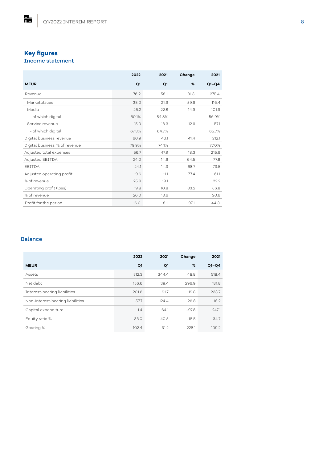## **Key figures** Income statement

點

|                                | 2022  | 2021  | Change | 2021    |
|--------------------------------|-------|-------|--------|---------|
| <b>MEUR</b>                    | Q1    | Q1    | %      | $Q1-Q4$ |
| Revenue                        | 76.2  | 58.1  | 31.3   | 275.4   |
| Marketplaces                   | 35.0  | 21.9  | 59.6   | 116.4   |
| Media                          | 26.2  | 22.8  | 14.9   | 101.9   |
| - of which digital             | 60.1% | 54.8% |        | 56.9%   |
| Service revenue                | 15.0  | 13.3  | 12.6   | 57.1    |
| - of which digital             | 67.3% | 64.7% |        | 65.7%   |
| Digital business revenue       | 60.9  | 43.1  | 41.4   | 212.1   |
| Digital business, % of revenue | 79.9% | 74.1% |        | 77.0%   |
| Adjusted total expenses        | 56.7  | 47.9  | 18.3   | 215.6   |
| Adjusted EBITDA                | 24.0  | 14.6  | 64.5   | 77.8    |
| <b>FBITDA</b>                  | 24.1  | 14.3  | 68.7   | 73.5    |
| Adjusted operating profit      | 19.6  | 11.1  | 77.4   | 61.1    |
| % of revenue                   | 25.8  | 19.1  |        | 22.2    |
| Operating profit (loss)        | 19.8  | 10.8  | 83.2   | 56.8    |
| % of revenue                   | 26.0  | 18.6  |        | 20.6    |
| Profit for the period          | 16.0  | 8.1   | 97.1   | 44.3    |

## Balance

|                                  | 2022  | 2021  | Change  | 2021    |
|----------------------------------|-------|-------|---------|---------|
| <b>MEUR</b>                      | Q1    | Q1    | %       | $Q1-Q4$ |
| Assets                           | 512.3 | 344.4 | 48.8    | 518.4   |
| Net debt                         | 156.6 | 39.4  | 296.9   | 181.8   |
| Interest-bearing liabilities     | 201.6 | 91.7  | 119.8   | 233.7   |
| Non-interest-bearing liabilities | 157.7 | 124.4 | 26.8    | 118.2   |
| Capital expenditure              | 1.4   | 64.1  | $-97.8$ | 247.1   |
| Equity ratio %                   | 33.0  | 40.5  | $-18.5$ | 34.7    |
| Gearing %                        | 102.4 | 31.2  | 228.1   | 109.2   |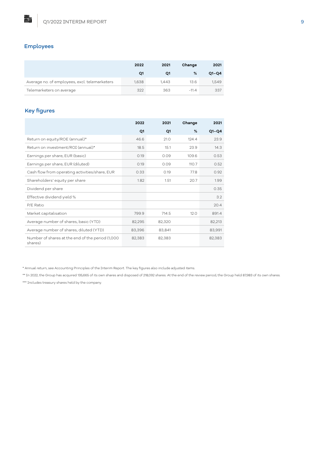## Employees

點

|                                               | 2022  | 2021  | Change  | 2021    |
|-----------------------------------------------|-------|-------|---------|---------|
|                                               | Q1    | Q1    | %       | $Q1-Q4$ |
| Average no. of employees, excl. telemarketers | 1,638 | 1,443 | 13.6    | 1,549   |
| Telemarketers on average                      | 322   | 363   | $-11.4$ | 337     |

## Key figures

|                                                             | 2022   | 2021   | Change | 2021    |
|-------------------------------------------------------------|--------|--------|--------|---------|
|                                                             | Q1     | Q1     | %      | $Q1-Q4$ |
| Return on equity/ROE (annual)*                              | 46.6   | 21.0   | 124.4  | 23.9    |
| Return on investment/ROI (annual)*                          | 18.5   | 15.1   | 23.9   | 14.3    |
| Earnings per share, EUR (basic)                             | 0.19   | 0.09   | 109.6  | 0.53    |
| Earnings per share, EUR (diluted)                           | 0.19   | 0.09   | 110.7  | 0.52    |
| Cash flow from operating activities/share, EUR              | 0.33   | 0.19   | 77.8   | 0.92    |
| Shareholders' equity per share                              | 1.82   | 1.51   | 20.7   | 1.99    |
| Dividend per share                                          |        |        |        | 0.35    |
| Effective dividend yield %                                  |        |        |        | 3.2     |
| P/E Ratio                                                   |        |        |        | 20.4    |
| Market capitalisation                                       | 799.9  | 714.5  | 12.0   | 891.4   |
| Average number of shares, basic (YTD)                       | 82,295 | 82,320 |        | 82,213  |
| Average number of shares, diluted (YTD)                     | 83,396 | 83,841 |        | 83,991  |
| Number of shares at the end of the period (1,000<br>shares) | 82,383 | 82,383 |        | 82,383  |

\* Annual return, see Accounting Principles of the Interim Report. The key figures also include adjusted items.

\*\* In 2022, the Group has acquired 135,665 of its own shares and disposed of 218,092 shares. At the end of the review period, the Group held 87,983 of its own shares.

\*\*\* Includes treasury shares held by the company.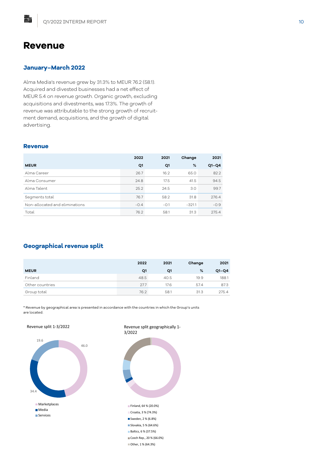## **Revenue**

脂

#### **January–March 2022**

Alma Media's revenue grew by 31.3% to MEUR 76.2 (58.1). Acquired and divested businesses had a net effect of MEUR 5.4 on revenue growth. Organic growth, excluding acquisitions and divestments, was 17.3%. The growth of revenue was attributable to the strong growth of recruitment demand, acquisitions, and the growth of digital advertising.

#### **Revenue**

|                                | 2022   | 2021   | Change   | 2021    |
|--------------------------------|--------|--------|----------|---------|
| <b>MEUR</b>                    | Q1     | Q1     | %        | $Q1-Q4$ |
| Alma Career                    | 26.7   | 16.2   | 65.0     | 82.2    |
| Alma Consumer                  | 24.8   | 17.5   | 41.5     | 94.5    |
| Alma Talent                    | 25.2   | 24.5   | 3.0      | 99.7    |
| Segments total                 | 76.7   | 58.2   | 31.8     | 276.4   |
| Non-allocated and eliminations | $-0.4$ | $-0.1$ | $-321.1$ | $-0.9$  |
| Total                          | 76.2   | 58.1   | 31.3     | 275.4   |

## **Geographical revenue split**

|                 | 2022 | 2021 | Change | 2021    |
|-----------------|------|------|--------|---------|
| <b>MEUR</b>     | Q1   | Q1   | %      | $Q1-Q4$ |
| Finland         | 48.5 | 40.5 | 19.9   | 188.1   |
| Other countries | 27.7 | 17.6 | 57.4   | 87.3    |
| Group total     | 76.2 | 58.1 | 31.3   | 275.4   |

\* Revenue by geographical area is presented in accordance with the countries in which the Group's units are located.

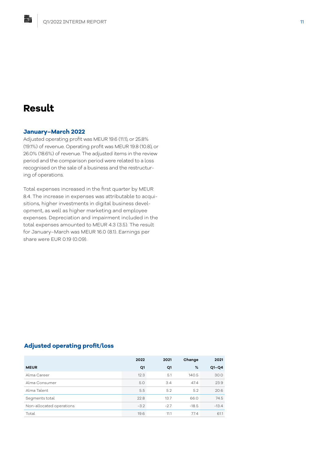## **Result**

融

#### **January–March 2022**

Adjusted operating profit was MEUR 19.6 (11.1), or 25.8% (19.1%) of revenue. Operating profit was MEUR 19.8 (10.8), or 26.0% (18.6%) of revenue. The adjusted items in the review period and the comparison period were related to a loss recognised on the sale of a business and the restructuring of operations.

Total expenses increased in the first quarter by MEUR 8.4. The increase in expenses was attributable to acquisitions, higher investments in digital business development, as well as higher marketing and employee expenses. Depreciation and impairment included in the total expenses amounted to MEUR 4.3 (3.5). The result for January–March was MEUR 16.0 (8.1). Earnings per share were EUR 0.19 (0.09).

## **Adjusted operating profit/loss**

|                          | 2022   | 2021   | Change  | 2021    |
|--------------------------|--------|--------|---------|---------|
| <b>MEUR</b>              | Q1     | Q1     | %       | $Q1-Q4$ |
| Alma Career              | 12.3   | 5.1    | 140.5   | 30.0    |
| Alma Consumer            | 5.0    | 3.4    | 47.4    | 23.9    |
| Alma Talent              | 5.5    | 5.2    | 5.2     | 20.6    |
| Segments total           | 22.8   | 13.7   | 66.0    | 74.5    |
| Non-allocated operations | $-3.2$ | $-2.7$ | $-18.5$ | $-13.4$ |
| Total                    | 19.6   | 11.1   | 77.4    | 61.1    |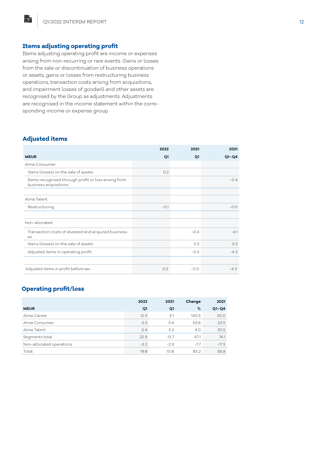#### **Items adjusting operating profit**

Items adjusting operating profit are income or expenses arising from non-recurring or rare events. Gains or losses from the sale or discontinuation of business operations or assets, gains or losses from restructuring business operations, transaction costs arising from acquisitions, and impairment losses of goodwill and other assets are recognised by the Group as adjustments. Adjustments are recognised in the income statement within the corresponding income or expense group.

#### **Adjusted items**

脂

|                                                                               | 2022   | 2021   | 2021    |
|-------------------------------------------------------------------------------|--------|--------|---------|
| <b>MEUR</b>                                                                   | Q1     | Q1     | $Q1-Q4$ |
| Alma Consumer                                                                 |        |        |         |
| Gains (losses) on the sale of assets                                          | 0.2    |        |         |
| Items recognised through profit or loss arising from<br>business acquisitions |        |        | $-0.4$  |
|                                                                               |        |        |         |
| Alma Talent                                                                   |        |        |         |
| Restructuring                                                                 | $-0.1$ |        | $-0.0$  |
|                                                                               |        |        |         |
| Non-allocated                                                                 |        |        |         |
| Transaction costs of divested and acquired business-<br>es                    |        | $-0.4$ | $-4.1$  |
| Gains (losses) on the sale of assets                                          |        | 0.2    | 0.2     |
| Adjusted items in operating profit                                            |        | $-0.3$ | $-4.3$  |
|                                                                               |        |        |         |
| Adjusted items in profit before tax                                           | 0.2    | $-0.3$ | $-4.3$  |

## **Operating profit/loss**

|                          | 2022   | 2021   | Change | 2021    |
|--------------------------|--------|--------|--------|---------|
| <b>MEUR</b>              | Q1     | Q1     | %      | $Q1-Q4$ |
| Alma Career              | 12.3   | 5.1    | 140.5  | 30.0    |
| Alma Consumer            | 5.3    | 3.4    | 53.6   | 23.5    |
| Alma Talent              | 5.4    | 5.2    | 4.0    | 20.5    |
| Segments total           | 22.9   | 13.7   | 67.1   | 74.1    |
| Non-allocated operations | $-3.2$ | $-2.9$ | $-7.7$ | $-17.3$ |
| Total                    | 19.8   | 10.8   | 83.2   | 56.8    |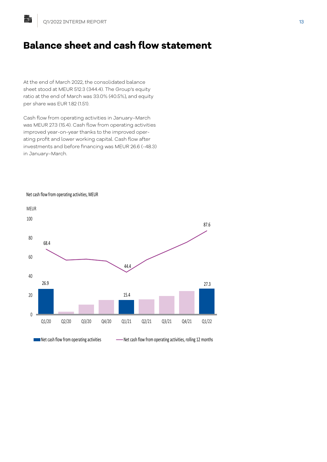脂

## **Balance sheet and cash flow statement**

At the end of March 2022, the consolidated balance sheet stood at MEUR 512.3 (344.4). The Group's equity ratio at the end of March was 33.0% (40.5%), and equity per share was EUR 1.82 (1.51).

Cash flow from operating activities in January–March was MEUR 27.3 (15.4). Cash flow from operating activities improved year-on-year thanks to the improved operating profit and lower working capital. Cash flow after investments and before financing was MEUR 26.6 (-48.3) in January–March.



Net cash flow from operating activities, MEUR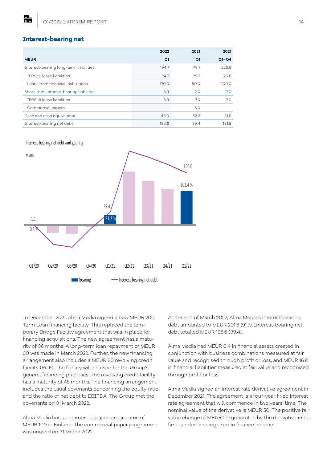#### **Interest-bearing net**

點

|                                         | 2022  | 2021 | 2021    |
|-----------------------------------------|-------|------|---------|
| <b>MEUR</b>                             | Q1    | Q1   | $Q1-Q4$ |
| Interest-bearing long-term liabilities  | 194.7 | 79.7 | 226.8   |
| IFRS 16 lease liabilities               | 24.7  | 29.7 | 26.8    |
| Loans from financial institutions       | 170.0 | 50.0 | 200.0   |
| Short-term interest-bearing liabilities | 6.9   | 12.0 | 7.0     |
| TERS 16 lease liabilities               | 6.9   | 7.0  | 7.0     |
| Commercial papers                       |       | 5.0  |         |
| Cash and cash equivalents               | 45.0  | 52.3 | 51.9    |
| Interest-bearing net debt               | 156.6 | 39.4 | 181.8   |

#### Interest-bearing net debt and gearing



In December 2021, Alma Media signed a new MEUR 200 Term Loan financing facility. This replaced the temporary Bridge Facility agreement that was in place for financing acquisitions. The new agreement has a maturity of 36 months. A long-term loan repayment of MEUR 30 was made in March 2022. Further, the new financing arrangement also includes a MEUR 30 revolving credit facility (RCF). The facility will be used for the Group's general financing purposes. The revolving credit facility has a maturity of 48 months. The financing arrangement includes the usual covenants concerning the equity ratio and the ratio of net debt to EBITDA. The Group met the covenants on 31 March 2022.

Alma Media has a commercial paper programme of MEUR 100 in Finland. The commercial paper programme was unused on 31 March 2022.

At the end of March 2022, Alma Media's interest-bearing debt amounted to MEUR 201.6 (91.7). Interest-bearing net debt totalled MEUR 156.6 (39.4).

Alma Media had MEUR 0.4 in financial assets created in conjunction with business combinations measured at fair value and recognised through profit or loss, and MEUR 16.8 in financial liabilities measured at fair value and recognised through profit or loss.

Alma Media signed an interest rate derivative agreement in December 2021. The agreement is a four-year fixed interest rate agreement that will commence in two years' time. The nominal value of the derivative is MEUR 50. The positive fair value change of MEUR 2.0 generated by the derivative in the first quarter is recognised in finance income.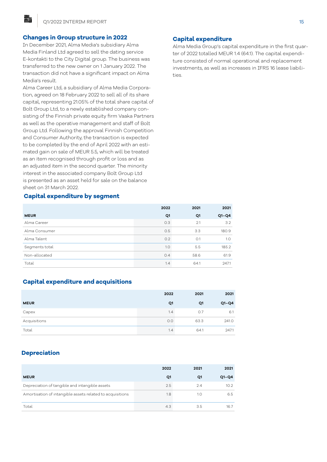#### **Changes in Group structure in 2022**

In December 2021, Alma Media's subsidiary Alma Media Finland Ltd agreed to sell the dating service E-kontakti to the City Digital group. The business was transferred to the new owner on 1 January 2022. The transaction did not have a significant impact on Alma Media's result.

Alma Career Ltd, a subsidiary of Alma Media Corporation, agreed on 18 February 2022 to sell all of its share capital, representing 21.05% of the total share capital of Bolt Group Ltd, to a newly established company consisting of the Finnish private equity firm Vaaka Partners as well as the operative management and staff of Bolt Group Ltd. Following the approval Finnish Competition and Consumer Authority, the transaction is expected to be completed by the end of April 2022 with an estimated gain on sale of MEUR 5.5, which will be treated as an item recognised through profit or loss and as an adjusted item in the second quarter. The minority interest in the associated company Bolt Group Ltd is presented as an asset held for sale on the balance sheet on 31 March 2022.

#### **Capital expenditure by segment**

|                | 2022 | 2021 | 2021    |
|----------------|------|------|---------|
| <b>MEUR</b>    | Q1   | Q1   | $Q1-Q4$ |
| Alma Career    | 0.3  | 2.1  | 3.2     |
| Alma Consumer  | 0.5  | 3.3  | 180.9   |
| Alma Talent    | 0.2  | O.1  | 1.0     |
| Segments total | 1.0  | 5.5  | 185.2   |
| Non-allocated  | O.4  | 58.6 | 61.9    |
|                |      |      |         |

Total 1.4 64.1 247.1

## **Capital expenditure and acquisitions**

|              | 2022 | 2021 | 2021    |
|--------------|------|------|---------|
| <b>MEUR</b>  | Q1   | Q1   | $Q1-Q4$ |
| Capex        | 1.4  | O.7  | 6.1     |
| Acquisitions | 0.0  | 63.3 | 241.0   |
| Total        | 1.4  | 64.1 | 247.1   |

## **Depreciation**

|                                                           | 2022 | 2021 | 2021              |
|-----------------------------------------------------------|------|------|-------------------|
| <b>MEUR</b>                                               | Q1   | Q1   | $O1 - O4$         |
| Depreciation of tangible and intangible assets            | 2.5  | 2.4  | 10.2 <sub>2</sub> |
| Amortisation of intangible assets related to acquisitions | 1.8  | 1.0  | 6.5               |
| Total                                                     | 4.3  | 3.5  | 16.7              |

#### **Capital expenditure**

Alma Media Group's capital expenditure in the first quarter of 2022 totalled MEUR 1.4 (64.1). The capital expenditure consisted of normal operational and replacement investments, as well as increases in IFRS 16 lease liabilities.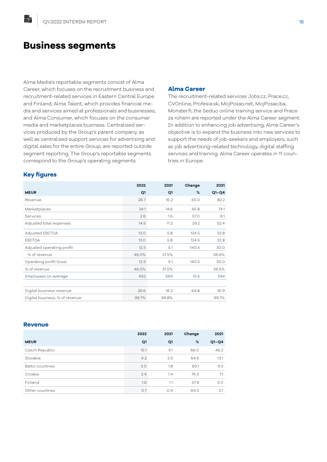## **Business segments**

Alma Media's reportable segments consist of Alma Career, which focuses on the recruitment business and recruitment-related services in Eastern Central Europe and Finland; Alma Talent, which provides financial media and services aimed at professionals and businesses; and Alma Consumer, which focuses on the consumer media and marketplaces business. Centralised services produced by the Group's parent company, as well as centralised support services for advertising and digital sales for the entire Group, are reported outside segment reporting. The Group's reportable segments correspond to the Group's operating segments.

#### **Alma Career**

The recruitment-related services Jobs.cz, Prace.cz, CVOnline, Profesia.sk, MojPosao.net, MojPosao.ba, Monster.fi, the Seduo online training service and Prace za rohem are reported under the Alma Career segment. In addition to enhancing job advertising, Alma Career's objective is to expand the business into new services to support the needs of job-seekers and employers, such as job advertising-related technology, digital staffing services and training. Alma Career operates in 11 countries in Europe.

## **Key figures**

點

|                                | 2022  | 2021  | Change | 2021    |
|--------------------------------|-------|-------|--------|---------|
| <b>MEUR</b>                    | Q1    | Q1    | %      | $Q1-Q4$ |
| Revenue                        | 26.7  | 16.2  | 65.0   | 82.2    |
| Marketplaces                   | 24.1  | 14.6  | 65.8   | 74.1    |
| Services                       | 2.6   | 1.6   | 57.0   | 8.1     |
| Adjusted total expenses        | 14.5  | 11.2  | 29.2   | 52.4    |
| Adjusted EBITDA                | 13.0  | 5.8   | 124.5  | 32.8    |
| EBITDA                         | 13.0  | 5.8   | 124.5  | 32.8    |
| Adjusted operating profit      | 12.3  | 5.1   | 140.5  | 30.0    |
| % of revenue                   | 46.0% | 31.5% |        | 36.6%   |
| Operating profit (loss)        | 12.3  | 5.1   | 140.5  | 30.0    |
| % of revenue                   | 46.0% | 31.5% |        | 36.6%   |
| Employees on average           | 652   | 564   | 15.5   | 594     |
|                                |       |       |        |         |
| Digital business revenue       | 26.6  | 16.2  | 64.8   | 81.9    |
| Digital business, % of revenue | 99.7% | 99.8% |        | 99.7%   |

#### **Revenue**

|                         | 2022 | 2021 | Change | 2021    |
|-------------------------|------|------|--------|---------|
| <b>MEUR</b>             | Q1   | Q1   | %      | $Q1-Q4$ |
| Czech Republic          | 15.1 | 9.1  | 66.0   | 46.2    |
| Slovakia                | 4.2  | 2.5  | 64.6   | 13.1    |
| <b>Baltic countries</b> | 3.0  | 1.8  | 69.1   | 9.3     |
| Croatia                 | 2.4  | 1.4  | 74.3   | 7.1     |
| Finland                 | 1.6  | 1.1  | 37.9   | 5.0     |
| Other countries         | 0.7  | 0.4  | 64.3   | 2.1     |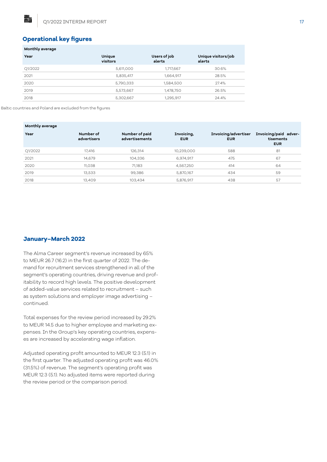#### **Operational key figures**

**Monthly average**

點

| <b>Monthly average</b> |                    |                        |                               |
|------------------------|--------------------|------------------------|-------------------------------|
| Year                   | Unique<br>visitors | Users of job<br>alerts | Unique visitors/job<br>alerts |
| Q1/2022                | 5,611,000          | 1,717,667              | 30.6%                         |
| 2021                   | 5,835,417          | 1,664,917              | 28.5%                         |
| 2020                   | 5,790,333          | 1,584,500              | 27.4%                         |
| 2019                   | 5,573,667          | 1,478,750              | 26.5%                         |
| 2018                   | 5,302,667          | 1,295,917              | 24.4%                         |

Baltic countries and Poland are excluded from the figures

| Monthly average |                          |                                  |                          |                                    |                                                  |
|-----------------|--------------------------|----------------------------------|--------------------------|------------------------------------|--------------------------------------------------|
| Year            | Number of<br>advertisers | Number of paid<br>advertisements | Invoicing,<br><b>EUR</b> | Invoicing/advertiser<br><b>EUR</b> | Invoicing/paid adver-<br>tisements<br><b>EUR</b> |
| Q1/2022         | 17,416                   | 126,314                          | 10,239,000               | 588                                | 81                                               |
| 2021            | 14,679                   | 104,336                          | 6,974,917                | 475                                | 67                                               |
| 2020            | 11,038                   | 71.183                           | 4,567,250                | 414                                | 64                                               |
| 2019            | 13,533                   | 99,386                           | 5,870,167                | 434                                | 59                                               |
| 2018            | 13,409                   | 103,434                          | 5,876,917                | 438                                | 57                                               |

#### **January–March 2022**

The Alma Career segment's revenue increased by 65% to MEUR 26.7 (16.2) in the first quarter of 2022. The demand for recruitment services strengthened in all of the segment's operating countries, driving revenue and profitability to record high levels. The positive development of added-value services related to recruitment – such as system solutions and employer image advertising – continued.

Total expenses for the review period increased by 29.2% to MEUR 14.5 due to higher employee and marketing expenses. In the Group's key operating countries, expenses are increased by accelerating wage inflation.

Adjusted operating profit amounted to MEUR 12.3 (5.1) in the first quarter. The adjusted operating profit was 46.0% (31.5%) of revenue. The segment's operating profit was MEUR 12.3 (5.1). No adjusted items were reported during the review period or the comparison period.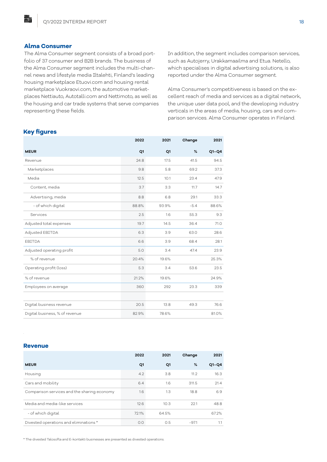#### **Alma Consumer**

點

The Alma Consumer segment consists of a broad portfolio of 37 consumer and B2B brands. The business of the Alma Consumer segment includes the multi-channel news and lifestyle media Iltalehti, Finland's leading housing marketplace Etuovi.com and housing rental marketplace Vuokraovi.com, the automotive marketplaces Nettiauto, Autotalli.com and Nettimoto, as well as the housing and car trade systems that serve companies representing these fields.

In addition, the segment includes comparison services, such as Autojerry, Urakkamaailma and Etua. Netello, which specialises in digital advertising solutions, is also reported under the Alma Consumer segment.

Alma Consumer's competitiveness is based on the excellent reach of media and services as a digital network, the unique user data pool, and the developing industry verticals in the areas of media, housing, cars and comparison services. Alma Consumer operates in Finland.

#### **Key figures**

|                                | 2022  | 2021  | Change | 2021    |
|--------------------------------|-------|-------|--------|---------|
| <b>MEUR</b>                    | Q1    | Q1    | %      | $Q1-Q4$ |
| Revenue                        | 24.8  | 17.5  | 41.5   | 94.5    |
| Marketplaces                   | 9.8   | 5.8   | 69.2   | 37.3    |
| Media                          | 12.5  | 10.1  | 23.4   | 47.9    |
| Content, media                 | 3.7   | 3.3   | 11.7   | 14.7    |
| Advertising, media             | 8.8   | 6.8   | 29.1   | 33.3    |
| - of which digital             | 88.8% | 93.9% | $-5.4$ | 88.6%   |
| Services                       | 2.5   | 1.6   | 55.3   | 9.3     |
| Adjusted total expenses        | 19.7  | 14.5  | 36.4   | 71.0    |
| Adjusted EBITDA                | 6.3   | 3.9   | 63.0   | 28.6    |
| EBITDA                         | 6.6   | 3.9   | 68.4   | 28.1    |
| Adjusted operating profit      | 5.0   | 3.4   | 47.4   | 23.9    |
| % of revenue                   | 20.4% | 19.6% |        | 25.3%   |
| Operating profit (loss)        | 5.3   | 3.4   | 53.6   | 23.5    |
| % of revenue                   | 21.2% | 19.6% |        | 24.9%   |
| Employees on average           | 360   | 292   | 23.3   | 339     |
|                                |       |       |        |         |
| Digital business revenue       | 20.5  | 13.8  | 49.3   | 76.6    |
| Digital business, % of revenue | 82.9% | 78.6% |        | 81.0%   |

#### **Revenue**

.

|                                             | 2022  | 2021  | Change  | 2021    |
|---------------------------------------------|-------|-------|---------|---------|
| <b>MEUR</b>                                 | Q1    | Q1    | %       | $Q1-Q4$ |
| Housing                                     | 4.2   | 3.8   | 11.2    | 16.3    |
| Cars and mobility                           | 6.4   | 1.6   | 311.5   | 21.4    |
| Comparison services and the sharing economy | 1.6   | 1.3   | 18.8    | 6.9     |
| Media and media-like services               | 12.6  | 10.3  | 22.1    | 48.8    |
| - of which digital                          | 72.1% | 64.5% |         | 67.2%   |
| Divested operations and eliminations *      | O.O   | O.5   | $-97.1$ | 1.1     |

\* The divested Talosofta and E-kontakti businesses are presented as divested operations.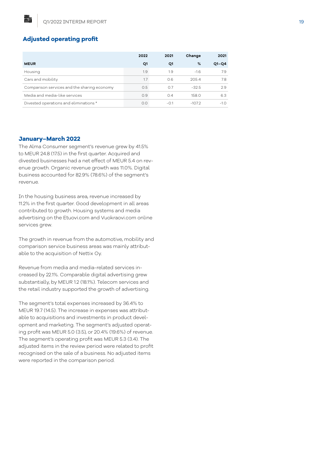## **Adjusted operating profit**

鷊

|                                             | 2022 | 2021   | Change   | 2021    |
|---------------------------------------------|------|--------|----------|---------|
| <b>MEUR</b>                                 | Q1   | Q1     | %        | $Q1-Q4$ |
| Housing                                     | 1.9  | 1.9    | $-1.6$   | 7.9     |
| Cars and mobility                           | 1.7  | 0.6    | 205.4    | 7.8     |
| Comparison services and the sharing economy | 0.5  | 0.7    | $-32.5$  | 2.9     |
| Media and media-like services               | O.9  | 0.4    | 158.0    | 6.3     |
| Divested operations and eliminations *      | O.O  | $-0.1$ | $-107.2$ | $-1.0$  |

#### **January–March 2022**

The Alma Consumer segment's revenue grew by 41.5% to MEUR 24.8 (17.5) in the first quarter. Acquired and divested businesses had a net effect of MEUR 5.4 on revenue growth. Organic revenue growth was 11.0%. Digital business accounted for 82.9% (78.6%) of the segment's revenue.

In the housing business area, revenue increased by 11.2% in the first quarter. Good development in all areas contributed to growth. Housing systems and media advertising on the Etuovi.com and Vuokraovi.com online services grew.

The growth in revenue from the automotive, mobility and comparison service business areas was mainly attributable to the acquisition of Nettix Oy.

Revenue from media and media-related services increased by 22.1%. Comparable digital advertising grew substantially, by MEUR 1.2 (18.1%). Telecom services and the retail industry supported the growth of advertising.

The segment's total expenses increased by 36.4% to MEUR 19.7 (14.5). The increase in expenses was attributable to acquisitions and investments in product development and marketing. The segment's adjusted operating profit was MEUR 5.0 (3.5), or 20.4% (19.6%) of revenue. The segment's operating profit was MEUR 5.3 (3.4). The adjusted items in the review period were related to profit recognised on the sale of a business. No adjusted items were reported in the comparison period.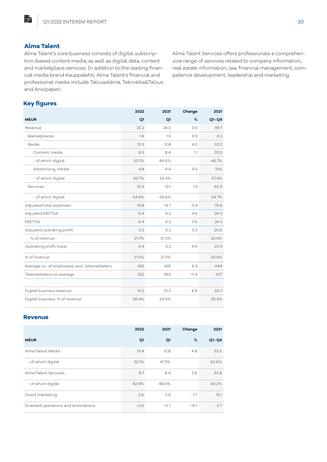## **Alma Talent**

脂

Alma Talent's core business consists of digital subscription-based content media, as well as digital data, content and marketplace services. In addition to the leading financial media brand Kauppalehti, Alma Talent's financial and professional media include Talouselämä, Tekniikka&Talous and Arvopaperi.

Alma Talent Services offers professionals a comprehensive range of services related to company information, real estate information, law, financial management, competence development, leadership and marketing.

## **Key figures**

|                                               | 2022  | 2021  | Change  | 2021    |
|-----------------------------------------------|-------|-------|---------|---------|
| <b>MEUR</b>                                   | Q1    | Q1    | %       | $Q1-Q4$ |
| Revenue                                       | 25.2  | 24.5  | 3.0     | 99.7    |
| Marketplaces                                  | 1.6   | 1.5   | 4.9     | 6.2     |
| Media                                         | 13.3  | 12.8  | 4.0     | 53.2    |
| Content, media                                | 8.5   | 8.4   | 1.1     | 33.5    |
| - of which digital                            | 50.1% | 44.6% |         | 46.7%   |
| Advertising, media                            | 4.8   | 4.4   | 9.5     | 19.6    |
| - of which digital                            | 56.7% | 52.4% |         | 57.4%   |
| Services                                      | 10.3  | 10.1  | 1.3     | 40.3    |
| - of which digital                            | 54.6% | 56.6% |         | 54.7%   |
| Adjusted total expenses                       | 19.8  | 19.7  | 0.4     | 79.6    |
| Adjusted EBITDA                               | 6.4   | 6.2   | 4.6     | 24.3    |
| EBITDA                                        | 6.4   | 6.2   | 3.6     | 24.2    |
| Adjusted operating profit                     | 5.5   | 5.2   | 5.2     | 20.6    |
| % of revenue                                  | 21.7% | 21.3% |         | 20.6%   |
| Operating profit (loss)                       | 5.4   | 5.2   | 4.0     | 20.5    |
| % of revenue                                  | 21.5% | 21.3% |         | 20.6%   |
| Average no. of employees, excl. telemarketers | 452   | 425   | 6.3     | 444     |
| Telemarketers on average                      | 322   | 363   | $-11.4$ | 337     |
|                                               |       |       |         |         |
| Digital business revenue                      | 14.2  | 13.3  | 6.6     | 55.2    |
| Digital business, % of revenue                | 56.4% | 54.5% |         | 55.4%   |

#### **Revenue**

|                                      | 2022   | 2021   | Change  | 2021    |
|--------------------------------------|--------|--------|---------|---------|
| <b>MEUR</b>                          | Q1     | Q1     | %       | $Q1-Q4$ |
| Alma Talent Media                    | 13.4   | 12.8   | 4.8     | 53.5    |
| - of which digital                   | 52.1%  | 47.3%  |         | 50.6%   |
| Alma Talent Services                 | 8.7    | 8.4    | 3.6     | 33.8    |
| - of which digital                   | 82.9%  | 86.6%  |         | 83.2%   |
| Direct marketing                     | 3.6    | 3.9    | $-7.7$  | 15.1    |
| Divested operations and eliminations | $-0.6$ | $-0.7$ | $-15.1$ | $-2.7$  |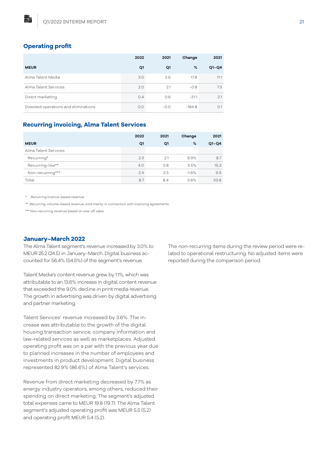## **Operating profit**

點

|                                      | 2022 | 2021   | Change   | 2021    |
|--------------------------------------|------|--------|----------|---------|
| <b>MEUR</b>                          | Q1   | Q1     | %        | $Q1-Q4$ |
| Alma Talent Media                    | 3.0  | 2.6    | 17.8     | 11.1    |
| Alma Talent Services                 | 2.0  | 2.1    | $-0.8$   | 7.3     |
| Direct marketing                     | 0.4  | O.6    | $-31.1$  | 2.1     |
| Divested operations and eliminations | O.O  | $-0.0$ | $-184.8$ | O.1     |

#### **Recurring invoicing, Alma Talent Services**

|                      | 2022 | 2021 | Change  | 2021    |
|----------------------|------|------|---------|---------|
| <b>MEUR</b>          | Q1   | Q1   | %       | $Q1-Q4$ |
| Alma Talent Services |      |      |         |         |
| Recurring*           | 2.3  | 2.1  | 9.9%    | 8.7     |
| Recurring-like**     | 4.0  | 3.8  | 3.5%    | 15.2    |
| Non-recurring***     | 2.4  | 2.5  | $-1.6%$ | 9.9     |
| Total                | 8.7  | 8.4  | 3.6%    | 33.8    |

Recurring licence-based revenue.

\*\* Recurring, volume-based revenue, sold mainly in connection with licensing agreements

\*\*\* Non-recurring revenue based on one-off sales

#### **January–March 2022**

The Alma Talent segment's revenue increased by 3.0% to MEUR 25.2 (24.5) in January–March. Digital business accounted for 56.4% (54.5%) of the segment's revenue.

Talent Media's content revenue grew by 1.1%, which was attributable to an 13.6% increase in digital content revenue that exceeded the 9.0% decline in print media revenue. The growth in advertising was driven by digital advertising and partner marketing.

Talent Services' revenue increased by 3.6%. The increase was attributable to the growth of the digital housing transaction service, company information and law-related services as well as marketplaces. Adjusted operating profit was on a par with the previous year due to planned increases in the number of employees and investments in product development. Digital business represented 82.9% (86.6%) of Alma Talent's services.

Revenue from direct marketing decreased by 7.7% as energy industry operators, among others, reduced their spending on direct marketing. The segment's adjusted total expenses came to MEUR 19.8 (19.7). The Alma Talent segment's adjusted operating profit was MEUR 5.5 (5.2) and operating profit MEUR 5.4 (5.2).

The non-recurring items during the review period were related to operational restructuring. No adjusted items were reported during the comparison period.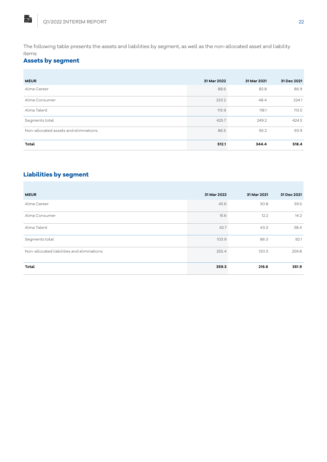The following table presents the assets and liabilities by segment, as well as the non-allocated asset and liability items:

## **Assets by segment**

| <b>MEUR</b>                           | 31 Mar 2022 | 31 Mar 2021 | 31 Dec 2021 |
|---------------------------------------|-------------|-------------|-------------|
| Alma Career                           | 88.6        | 82.8        | 86.9        |
| Alma Consumer                         | 223.2       | 48.4        | 224.1       |
| Alma Talent                           | 113.9       | 118.1       | 113.5       |
| Segments total                        | 425.7       | 249.2       | 424.5       |
| Non-allocated assets and eliminations | 86.5        | 95.2        | 93.9        |
| Total                                 | 512.1       | 344.4       | 518.4       |

## **Liabilities by segment**

| <b>MEUR</b>                                | 31 Mar 2022 | 31 Mar 2021 | 31 Dec 2021 |
|--------------------------------------------|-------------|-------------|-------------|
| Alma Career                                | 45.6        | 30.8        | 39.5        |
| Alma Consumer                              | 15.6        | 12.2        | 14.2        |
| Alma Talent                                | 42.7        | 43.3        | 38.4        |
| Segments total                             | 103.9       | 86.3        | 92.1        |
| Non-allocated liabilities and eliminations | 255.4       | 130.3       | 259.8       |
| Total                                      | 359.3       | 216.6       | 351.9       |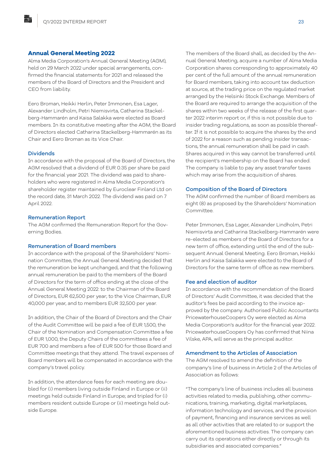#### **Annual General Meeting 2022**

Alma Media Corporation's Annual General Meeting (AGM), held on 29 March 2022 under special arrangements, confirmed the financial statements for 2021 and released the members of the Board of Directors and the President and CEO from liability.

Eero Broman, Heikki Herlin, Peter Immonen, Esa Lager, Alexander Lindholm, Petri Niemisvirta, Catharina Stackelberg-Hammarén and Kaisa Salakka were elected as Board members. In its constitutive meeting after the AGM, the Board of Directors elected Catharina Stackelberg-Hammarén as its Chair and Eero Broman as its Vice Chair.

#### Dividends

點

In accordance with the proposal of the Board of Directors, the AGM resolved that a dividend of EUR 0.35 per share be paid for the financial year 2021. The dividend was paid to shareholders who were registered in Alma Media Corporation's shareholder register maintained by Euroclear Finland Ltd on the record date, 31 March 2022. The dividend was paid on 7 April 2022.

#### Remuneration Report

The AGM confirmed the Remuneration Report for the Governing Bodies.

#### Remuneration of Board members

In accordance with the proposal of the Shareholders' Nomination Committee, the Annual General Meeting decided that the remuneration be kept unchanged, and that the following annual remuneration be paid to the members of the Board of Directors for the term of office ending at the close of the Annual General Meeting 2022: to the Chairman of the Board of Directors, EUR 62,500 per year; to the Vice Chairman, EUR 40,000 per year, and to members EUR 32,500 per year.

In addition, the Chair of the Board of Directors and the Chair of the Audit Committee will be paid a fee of EUR 1,500, the Chair of the Nomination and Compensation Committee a fee of EUR 1,000, the Deputy Chairs of the committees a fee of EUR 700 and members a fee of EUR 500 for those Board and Committee meetings that they attend. The travel expenses of Board members will be compensated in accordance with the company's travel policy.

In addition, the attendance fees for each meeting are doubled for (i) members living outside Finland in Europe or (ii) meetings held outside Finland in Europe; and tripled for (i) members resident outside Europe or (ii) meetings held outside Europe.

The members of the Board shall, as decided by the Annual General Meeting, acquire a number of Alma Media Corporation shares corresponding to approximately 40 per cent of the full amount of the annual remuneration for Board members, taking into account tax deduction at source, at the trading price on the regulated market arranged by the Helsinki Stock Exchange. Members of the Board are required to arrange the acquisition of the shares within two weeks of the release of the first quarter 2022 interim report or, if this is not possible due to insider trading regulations, as soon as possible thereafter. If it is not possible to acquire the shares by the end of 2022 for a reason such as pending insider transactions, the annual remuneration shall be paid in cash. Shares acquired in this way cannot be transferred until the recipient's membership on the Board has ended. The company is liable to pay any asset transfer taxes which may arise from the acquisition of shares.

#### Composition of the Board of Directors

The AGM confirmed the number of Board members as eight (8) as proposed by the Shareholders' Nomination Committee.

Peter Immonen, Esa Lager, Alexander Lindholm, Petri Niemisvirta and Catharina Stackelberg-Hammarén were re-elected as members of the Board of Directors for a new term of office, extending until the end of the subsequent Annual General Meeting. Eero Broman, Heikki Herlin and Kaisa Salakka were elected to the Board of Directors for the same term of office as new members.

#### Fee and election of auditor

In accordance with the recommendation of the Board of Directors' Audit Committee, it was decided that the auditor's fees be paid according to the invoice approved by the company. Authorised Public Accountants PricewaterhouseCoopers Oy were elected as Alma Media Corporation's auditor for the financial year 2022. PricewaterhouseCoopers Oy has confirmed that Niina Vilske, APA, will serve as the principal auditor.

#### Amendment to the Articles of Association

The AGM resolved to amend the definition of the company's line of business in Article 2 of the Articles of Association as follows:

"The company's line of business includes all business activities related to media, publishing, other communications, training, marketing, digital marketplaces, information technology and services, and the provision of payment, financing and insurance services as well as all other activities that are related to or support the aforementioned business activities. The company can carry out its operations either directly or through its subsidiaries and associated companies."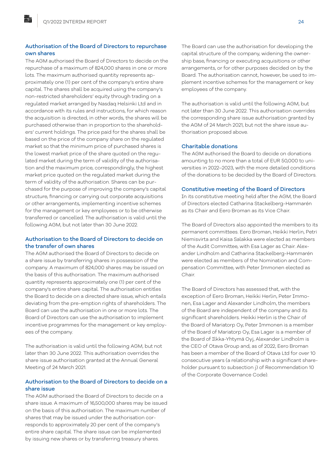### Authorisation of the Board of Directors to repurchase own shares

The AGM authorised the Board of Directors to decide on the repurchase of a maximum of 824,000 shares in one or more lots. The maximum authorised quantity represents approximately one (1) per cent of the company's entire share capital. The shares shall be acquired using the company's non-restricted shareholders' equity through trading on a regulated market arranged by Nasdaq Helsinki Ltd and in accordance with its rules and instructions, for which reason the acquisition is directed, in other words, the shares will be purchased otherwise than in proportion to the shareholders' current holdings. The price paid for the shares shall be based on the price of the company share on the regulated market so that the minimum price of purchased shares is the lowest market price of the share quoted on the regulated market during the term of validity of the authorisation and the maximum price, correspondingly, the highest market price quoted on the regulated market during the term of validity of the authorisation. Shares can be purchased for the purpose of improving the company's capital structure, financing or carrying out corporate acquisitions or other arrangements, implementing incentive schemes for the management or key employees or to be otherwise transferred or cancelled. The authorisation is valid until the following AGM, but not later than 30 June 2022.

#### Authorisation to the Board of Directors to decide on the transfer of own shares

The AGM authorised the Board of Directors to decide on a share issue by transferring shares in possession of the company. A maximum of 824,000 shares may be issued on the basis of this authorisation. The maximum authorised quantity represents approximately one (1) per cent of the company's entire share capital. The authorisation entitles the Board to decide on a directed share issue, which entails deviating from the pre-emption rights of shareholders. The Board can use the authorisation in one or more lots. The Board of Directors can use the authorisation to implement incentive programmes for the management or key employees of the company.

The authorisation is valid until the following AGM, but not later than 30 June 2022. This authorisation overrides the share issue authorisation granted at the Annual General Meeting of 24 March 2021.

#### Authorisation to the Board of Directors to decide on a share issue

The AGM authorised the Board of Directors to decide on a share issue. A maximum of 16,500,000 shares may be issued on the basis of this authorisation. The maximum number of shares that may be issued under the authorisation corresponds to approximately 20 per cent of the company's entire share capital. The share issue can be implemented by issuing new shares or by transferring treasury shares.

The Board can use the authorisation for developing the capital structure of the company, widening the ownership base, financing or executing acquisitions or other arrangements, or for other purposes decided on by the Board. The authorisation cannot, however, be used to implement incentive schemes for the management or key employees of the company.

The authorisation is valid until the following AGM, but not later than 30 June 2022. This authorisation overrides the corresponding share issue authorisation granted by the AGM of 24 March 2021, but not the share issue authorisation proposed above.

#### Charitable donations

The AGM authorised the Board to decide on donations amounting to no more than a total of EUR 50,000 to universities in 2022–2023, with the more detailed conditions of the donations to be decided by the Board of Directors.

#### Constitutive meeting of the Board of Directors

In its constitutive meeting held after the AGM, the Board of Directors elected Catharina Stackelberg-Hammarén as its Chair and Eero Broman as its Vice Chair.

The Board of Directors also appointed the members to its permanent committees. Eero Broman, Heikki Herlin, Petri Niemisvirta and Kaisa Salakka were elected as members of the Audit Committee, with Esa Lager as Chair. Alexander Lindholm and Catharina Stackelberg-Hammarén were elected as members of the Nomination and Compensation Committee, with Peter Immonen elected as Chair.

The Board of Directors has assessed that, with the exception of Eero Broman, Heikki Herlin, Peter Immonen, Esa Lager and Alexander Lindholm, the members of the Board are independent of the company and its significant shareholders. Heikki Herlin is the Chair of the Board of Mariatorp Oy, Peter Immonen is a member of the Board of Mariatorp Oy, Esa Lager is a member of the Board of Ilkka-Yhtymä Oyj, Alexander Lindholm is the CEO of Otava Group and, as of 2022, Eero Broman has been a member of the Board of Otava Ltd for over 10 consecutive years (a relationship with a significant shareholder pursuant to subsection j) of Recommendation 10 of the Corporate Governance Code).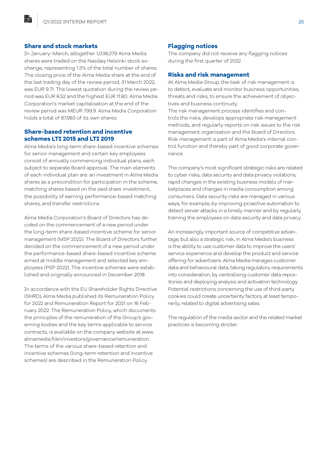#### **Share and stock markets**

點

In January–March, altogether 1,038,379 Alma Media shares were traded on the Nasdaq Helsinki stock exchange, representing 1.3% of the total number of shares. The closing price of the Alma Media share at the end of the last trading day of the review period, 31 March 2022, was EUR 9.71. The lowest quotation during the review period was EUR 8.52 and the highest EUR 11.80. Alma Media Corporation's market capitalisation at the end of the review period was MEUR 799.9. Alma Media Corporation holds a total of 87,983 of its own shares.

### **Share-based retention and incentive schemes LTI 2015 and LTI 2019**

Alma Media's long-term share-based incentive schemes for senior management and certain key employees consist of annually commencing individual plans, each subject to separate Board approval. The main elements of each individual plan are: an investment in Alma Media shares as a precondition for participation in the scheme, matching shares based on the said share investment, the possibility of earning performance-based matching shares, and transfer restrictions.

Alma Media Corporation's Board of Directors has decided on the commencement of a new period under the long-term share-based incentive scheme for senior management (MSP 2022). The Board of Directors further decided on the commencement of a new period under the performance-based share-based incentive scheme aimed at middle management and selected key employees (PSP 2022). The incentive schemes were established and originally announced in December 2018.

In accordance with the EU Shareholder Rights Directive (SHRD), Alma Media published its Remuneration Policy for 2022 and Remuneration Report for 2021 on 16 February 2022. The Remuneration Policy, which documents the principles of the remuneration of the Group's governing bodies and the key terms applicable to service contracts, is available on the company website at www. almamedia.fi/en/investors/governance/remuneration. The terms of the various share-based retention and incentive schemes (long-term retention and incentive schemes) are described in the Remuneration Policy.

#### **Flagging notices**

The company did not receive any flagging notices during the first quarter of 2022.

#### **Risks and risk management**

At Alma Media Group, the task of risk management is to detect, evaluate and monitor business opportunities, threats and risks, to ensure the achievement of objectives and business continuity.

The risk management process identifies and controls the risks, develops appropriate risk management methods, and regularly reports on risk issues to the risk management organisation and the Board of Directors. Risk management is part of Alma Media's internal control function and thereby part of good corporate governance.

The company's most significant strategic risks are related to cyber risks, data security and data privacy violations, rapid changes in the existing business models of marketplaces and changes in media consumption among consumers. Data security risks are managed in various ways; for example, by improving proactive automation to detect server attacks in a timely manner and by regularly training the employees on data security and data privacy.

An increasingly important source of competitive advantage, but also a strategic risk, in Alma Media's business is the ability to use customer data to improve the users' service experience and develop the product and service offering for advertisers. Alma Media manages customer data and behavioural data, taking regulatory requirements into consideration, by centralising customer data repositories and deploying analysis and activation technology. Potential restrictions concerning the use of third-party cookies could create uncertainty factors, at least temporarily, related to digital advertising sales.

The regulation of the media sector and the related market practices is becoming stricter.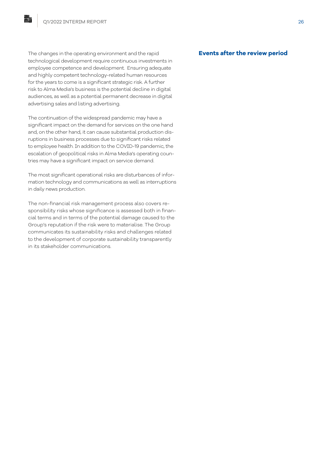The changes in the operating environment and the rapid technological development require continuous investments in employee competence and development. Ensuring adequate and highly competent technology-related human resources for the years to come is a significant strategic risk. A further risk to Alma Media's business is the potential decline in digital audiences, as well as a potential permanent decrease in digital advertising sales and listing advertising.

The continuation of the widespread pandemic may have a significant impact on the demand for services on the one hand and, on the other hand, it can cause substantial production disruptions in business processes due to significant risks related to employee health. In addition to the COVID-19 pandemic, the escalation of geopolitical risks in Alma Media's operating countries may have a significant impact on service demand.

The most significant operational risks are disturbances of information technology and communications as well as interruptions in daily news production.

The non-financial risk management process also covers responsibility risks whose significance is assessed both in financial terms and in terms of the potential damage caused to the Group's reputation if the risk were to materialise. The Group communicates its sustainability risks and challenges related to the development of corporate sustainability transparently in its stakeholder communications.

#### **Events after the review period**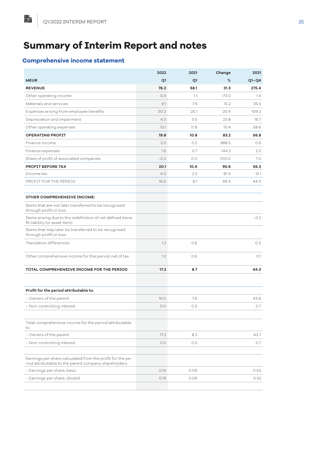## **Summary of Interim Report and notes**

## **Comprehensive income statement**

|                                                                                                                    | 2022   | 2021 | Change   | 2021    |
|--------------------------------------------------------------------------------------------------------------------|--------|------|----------|---------|
| <b>MEUR</b>                                                                                                        | Q1     | Q1   | %        | $Q1-Q4$ |
| <b>REVENUE</b>                                                                                                     | 76.2   | 58.1 | 31.3     | 275.4   |
| Other operating income                                                                                             | 0.3    | 1.1  | $-73.0$  | 1.4     |
| Materials and services                                                                                             | 9.1    | 7.9  | 15.2     | 35.5    |
| Expenses arising from employee benefits                                                                            | 30.2   | 25.1 | 20.4     | 109.2   |
| Depreciation and impairment                                                                                        | 4.3    | 3.5  | 23.8     | 16.7    |
| Other operating expenses                                                                                           | 13.1   | 11.8 | 10.4     | 58.6    |
| <b>OPERATING PROFIT</b>                                                                                            | 19.8   | 10.8 | 83.2     | 56.8    |
| Finance income                                                                                                     | 2.0    | 0.2  | 988.5    | 0.9     |
| Finance expenses                                                                                                   | 1.6    | 0.7  | 144.2    | 2.3     |
| Share of profit of associated companies                                                                            | $-0.2$ | 0.0  | $-100.0$ | 1.0     |
| PROFIT BEFORE TAX                                                                                                  | 20.1   | 10.4 | 95.6     | 56.3    |
| Income tax                                                                                                         | 4.0    | 2.2  | 81.4     | 12.1    |
| PROFIT FOR THE PERIOD                                                                                              | 16.0   | 8.1  | 99.4     | 44.3    |
| <b>OTHER COMPREHENSIVE INCOME:</b>                                                                                 |        |      |          |         |
| Items that are not later transferred to be recognised<br>through profit or loss                                    |        |      |          |         |
| Items arising due to the redefinition of net defined bene-<br>fit liability (or asset item)                        |        |      |          | $-0.2$  |
| Items that may later be transferred to be recognised<br>through profit or loss                                     |        |      |          |         |
| Translation differences                                                                                            | 1.2    | 0.6  |          | 0.3     |
| Other comprehensive income for the period, net of tax                                                              | 1.2    | 0.6  |          | O.1     |
| <b>TOTAL COMPREHENSIVE INCOME FOR THE PERIOD</b>                                                                   | 17.2   | 8.7  |          | 44.3    |
|                                                                                                                    |        |      |          |         |
| Profit for the period attributable to:                                                                             |        |      |          |         |
| - Owners of the parent                                                                                             | 16.0   | 7.6  |          | 43.6    |
| - Non-controlling interest                                                                                         | 0.0    | 0.5  |          | 0.7     |
| Total comprehensive income for the period attributable<br>to:                                                      |        |      |          |         |
| - Owners of the parent                                                                                             | 17.2   | 8.2  |          | 43.7    |
| - Non-controlling interest                                                                                         | 0.0    | 0.5  |          | 0.7     |
|                                                                                                                    |        |      |          |         |
| Earnings per share calculated from the profit for the pe-<br>riod attributable to the parent company shareholders: |        |      |          |         |
| – Earnings per share, basic                                                                                        | 0.19   | 0.09 |          | 0.53    |
| – Earnings per share, diluted                                                                                      | 0.19   | 0.09 |          | 0.52    |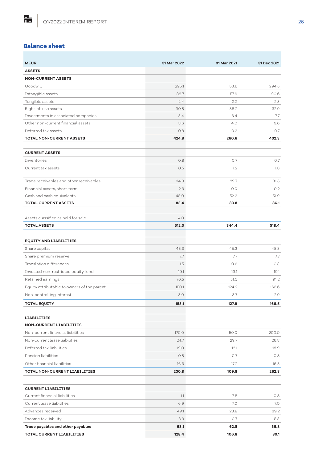## **Balance sheet**

點

| <b>MEUR</b>                                 | 31 Mar 2022 | 31 Mar 2021 | 31 Dec 2021 |
|---------------------------------------------|-------------|-------------|-------------|
| <b>ASSETS</b>                               |             |             |             |
| <b>NON-CURRENT ASSETS</b>                   |             |             |             |
| Goodwill                                    | 295.1       | 153.6       | 294.5       |
| Intangible assets                           | 88.7        | 57.9        | 90.6        |
| Tangible assets                             | 2.4         | 2.2         | 2.3         |
| Right-of-use assets                         | 30.8        | 36.2        | 32.9        |
| Investments in associated companies         | 3.4         | 6.4         | 7.7         |
| Other non-current financial assets          | 3.6         | 4.0         | 3.6         |
| Deferred tax assets                         | 0.8         | 0.3         | 0.7         |
| <b>TOTAL NON-CURRENT ASSETS</b>             | 424.8       | 260.6       | 432.3       |
|                                             |             |             |             |
| <b>CURRENT ASSETS</b>                       |             |             |             |
| Inventories                                 | 0.8         | O.7         | 0.7         |
| Current tax assets                          | 0.5         | 1.2         | 1.8         |
| Trade receivables and other receivables     | 34.8        | 29.7        | 31.5        |
| Financial assets, short-term                | 2.3         | 0.0         | 0.2         |
| Cash and cash equivalents                   | 45.0        | 52.3        | 51.9        |
| <b>TOTAL CURRENT ASSETS</b>                 | 83.4        | 83.8        | 86.1        |
|                                             |             |             |             |
| Assets classified as held for sale          | 4.0         |             |             |
| <b>TOTAL ASSETS</b>                         | 512.3       | 344.4       | 518.4       |
|                                             |             |             |             |
| <b>EQUITY AND LIABILITIES</b>               |             |             |             |
| Share capital                               | 45.3        | 45.3        | 45.3        |
| Share premium reserve                       | 7.7         | 7.7         | 7.7         |
| Translation differences                     | 1.5         | 0.6         | 0.3         |
| Invested non-restricted equity fund         | 19.1        | 19.1        | 19.1        |
| Retained earnings                           | 76.5        | 51.5        | 91.2        |
| Equity attributable to owners of the parent | 150.1       | 124.2       | 163.6       |
| Non-controlling interest                    | 3.0         | 3.7         | 2.9         |
| TOTAL EQUITY                                | 153.1       | 127.9       | 166.5       |
|                                             |             |             |             |
| <b>LIABILITIES</b>                          |             |             |             |
| <b>NON-CURRENT LIABILITIES</b>              |             |             |             |
| Non-current financial liabilities           | 170.0       | 50.0        | 200.0       |
| Non-current lease liabilities               | 24.7        | 29.7        | 26.8        |
| Deferred tax liabilities                    | 19.0        | 12.1        | 18.9        |
| Pension liabilities                         | 0.8         | 0.7         | 0.8         |
| Other financial liabilities                 | 16.3        | 17.2        | 16.3        |
| TOTAL NON-CURRENT LIABILITIES               | 230.8       | 109.8       | 262.8       |
|                                             |             |             |             |
| <b>CURRENT LIABILITIES</b>                  |             |             |             |
| Current financial liabilities               | 1.1         | 7.8         | 0.8         |
| Current lease liabilities                   | 6.9         | 7.0         | 7.0         |
| Advances received                           | 49.1        | 28.8        | 39.2        |
| Income tax liability                        | 3.3         | 0.7         | 5.3         |
| Trade payables and other payables           | 68.1        | 62.5        | 36.8        |
| <b>TOTAL CURRENT LIABILITIES</b>            | 128.4       | 106.8       | 89.1        |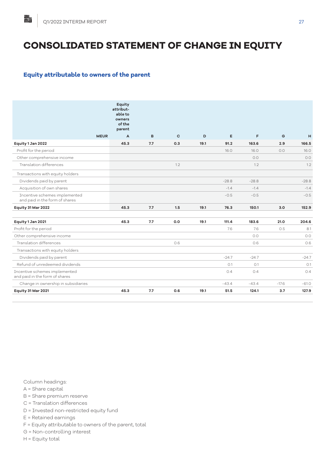## **CONSOLIDATED STATEMENT OF CHANGE IN EQUITY**

## **Equity attributable to owners of the parent**

|                                                                 | Equity<br>attribut-<br>able to<br>owners<br>of the<br>parent |     |              |      |         |         |         |         |
|-----------------------------------------------------------------|--------------------------------------------------------------|-----|--------------|------|---------|---------|---------|---------|
| <b>MEUR</b>                                                     | A                                                            | B   | $\mathbf{C}$ | D    | E       | F       | G       | H       |
| Equity 1 Jan 2022                                               | 45.3                                                         | 7.7 | 0.3          | 19.1 | 91.2    | 163.6   | 2.9     | 166.5   |
| Profit for the period                                           |                                                              |     |              |      | 16.0    | 16.0    | 0.0     | 16.0    |
| Other comprehensive income                                      |                                                              |     |              |      |         | 0.0     |         | O.O     |
| Translation differences                                         |                                                              |     | 1.2          |      |         | 1.2     |         | 1.2     |
| Transactions with equity holders                                |                                                              |     |              |      |         |         |         |         |
| Dividends paid by parent                                        |                                                              |     |              |      | $-28.8$ | $-28.8$ |         | $-28.8$ |
| Acquisition of own shares                                       |                                                              |     |              |      | $-1.4$  | $-1.4$  |         | $-1.4$  |
| Incentive schemes implemented<br>and paid in the form of shares |                                                              |     |              |      | $-0.5$  | $-0.5$  |         | $-0.5$  |
| Equity 31 Mar 2022                                              | 45.3                                                         | 7.7 | 1.5          | 19.1 | 76.3    | 150.1   | 3.0     | 152.9   |
| Equity 1 Jan 2021                                               | 45.3                                                         | 7.7 | 0.0          | 19.1 | 111.4   | 183.6   | 21.0    | 204.6   |
| Profit for the period                                           |                                                              |     |              |      | 7.6     | 7.6     | 0.5     | 8.1     |
| Other comprehensive income                                      |                                                              |     |              |      |         | 0.0     |         | 0.0     |
| Translation differences                                         |                                                              |     | 0.6          |      |         | 0.6     |         | 0.6     |
| Transactions with equity holders                                |                                                              |     |              |      |         |         |         |         |
| Dividends paid by parent                                        |                                                              |     |              |      | $-24.7$ | $-24.7$ |         | $-24.7$ |
| Refund of unredeemed dividends                                  |                                                              |     |              |      | O.1     | O.1     |         | O.1     |
| Incentive schemes implemented<br>and paid in the form of shares |                                                              |     |              |      | 0.4     | 0.4     |         | 0.4     |
| Change in ownership in subsidiaries                             |                                                              |     |              |      | $-43.4$ | $-43.4$ | $-17.6$ | $-61.0$ |
| Equity 31 Mar 2021                                              | 45.3                                                         | 7.7 | 0.6          | 19.1 | 51.5    | 124.1   | 3.7     | 127.9   |

Column headings:

A = Share capital

B = Share premium reserve

C = Translation differences

D = Invested non-restricted equity fund

E = Retained earnings

- F = Equity attributable to owners of the parent, total
- G = Non-controlling interest

H = Equity total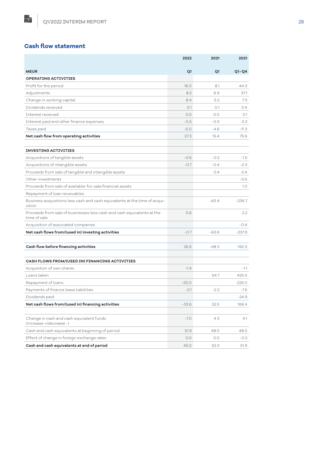## **Cash flow statement**

點

|                                                                                        | 2022    | 2021           | 2021     |
|----------------------------------------------------------------------------------------|---------|----------------|----------|
| <b>MEUR</b>                                                                            | Q1      | Q <sub>1</sub> | $Q1-Q4$  |
| <b>OPERATING ACTIVITIES</b>                                                            |         |                |          |
| Profit for the period                                                                  | 16.0    | 8.1            | 44.3     |
| Adjustments                                                                            | 8.2     | 6.9            | 37.1     |
| Change in working capital                                                              | 8.4     | 5.2            | 7.3      |
| Dividends received                                                                     | O.1     | 0.1            | 0.4      |
| Interest received                                                                      | 0.0     | 0.0            | O.1      |
| Interest paid and other finance expenses                                               | $-0.5$  | $-0.3$         | $-2.2$   |
| Taxes paid                                                                             | $-5.0$  | $-4.6$         | $-11.3$  |
| Net cash flow from operating activities                                                | 27.3    | 15.4           | 75.6     |
|                                                                                        |         |                |          |
| <b>INVESTING ACTIVITIES</b>                                                            |         |                |          |
| Acquisitions of tangible assets                                                        | $-0.6$  | $-0.2$         | $-1.5$   |
| Acquisitions of intangible assets                                                      | $-0.7$  | $-0.4$         | $-2.3$   |
| Proceeds from sale of tangible and intangible assets                                   |         | 0.4            | 0.4      |
| Other investments                                                                      |         |                | $-0.5$   |
| Proceeds from sale of available-for-sale financial assets                              |         |                | 1.0      |
| Repayment of loan receivables                                                          |         |                |          |
| Business acquisitions less cash and cash equivalents at the time of acqui-<br>sition   |         | $-63.4$        | $-236.7$ |
| Proceeds from sale of businesses less cash and cash equivalents at the<br>time of sale | 0.6     |                | 2.2      |
| Acquisition of associated companies                                                    |         |                | $-0.4$   |
| Net cash flows from/(used in) investing activities                                     | $-0.7$  | $-63.6$        | $-237.9$ |
|                                                                                        |         |                |          |
| Cash flow before financing activities                                                  | 26.6    | $-48.3$        | $-162.3$ |
|                                                                                        |         |                |          |
| CASH FLOWS FROM/(USED IN) FINANCING ACTIVITIES                                         |         |                |          |
| Acquisition of own shares                                                              | $-1.4$  |                | $-1.1$   |
| Loans taken                                                                            |         | 54.7           | 425.0    |
| Repayment of loans                                                                     | $-30.0$ |                | $-225.0$ |
| Payments of finance lease liabilities                                                  | $-2.1$  | $-2.2$         | $-7.5$   |
| Dividends paid                                                                         |         |                | $-24.9$  |
| Net cash flows from/(used in) financing activities                                     | $-33.6$ | 52.5           | 166.4    |
|                                                                                        |         |                |          |
| Change in cash and cash equivalent funds<br>(increase +/decrease -)                    | $-7.0$  | 4.3            | 4.1      |
| Cash and cash equivalents at beginning of period                                       | 51.9    | 48.0           | 48.0     |
| Effect of change in foreign exchange rates                                             | 0.0     | 0.0            | $-0.2$   |
| Cash and cash equivalents at end of period                                             | 45.0    | 52.3           | 51.9     |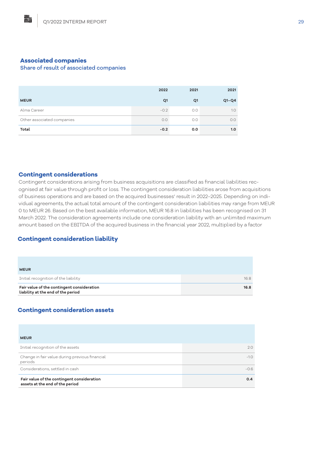### **Associated companies**

點

#### Share of result of associated companies

|                            | 2022   | 2021           | 2021    |
|----------------------------|--------|----------------|---------|
| <b>MEUR</b>                | Q1     | Q <sub>1</sub> | $Q1-Q4$ |
| Alma Career                | $-0.2$ | O.O            | 1.0     |
| Other associated companies | 0.0    | O.O            | 0.0     |
| Total                      | $-0.2$ | 0.0            | 1.0     |

#### **Contingent considerations**

Contingent considerations arising from business acquisitions are classified as financial liabilities recognised at fair value through profit or loss. The contingent consideration liabilities arose from acquisitions of business operations and are based on the acquired businesses' result in 2022–2025. Depending on individual agreements, the actual total amount of the contingent consideration liabilities may range from MEUR 0 to MEUR 26. Based on the best available information, MEUR 16.8 in liabilities has been recognised on 31 March 2022. The consideration agreements include one consideration liability with an unlimited maximum amount based on the EBITDA of the acquired business in the financial year 2022, multiplied by a factor

## **Contingent consideration liability**

| Fair value of the contingent consideration<br>liability at the end of the period | 16.8 |
|----------------------------------------------------------------------------------|------|
| Initial recognition of the liability                                             | 16.8 |
| <b>MEUR</b>                                                                      |      |

## **Contingent consideration assets**

| <b>MEUR</b>                                                                   |        |
|-------------------------------------------------------------------------------|--------|
| Initial recognition of the assets                                             | 2.0    |
| Change in fair value during previous financial<br>periods                     | $-1.0$ |
| Considerations, settled in cash                                               | $-0.6$ |
| Fair value of the contingent consideration<br>assets at the end of the period | 0.4    |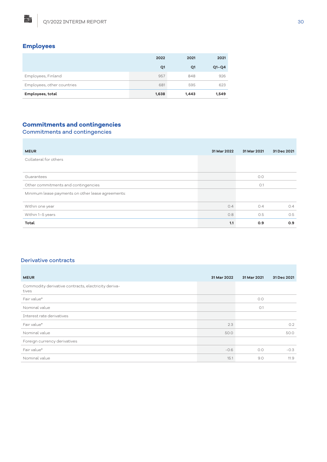## **Employees**

點

|                            | 2022  | 2021  | 2021    |
|----------------------------|-------|-------|---------|
|                            | Q1    | Q1    | $Q1-Q4$ |
| Employees, Finland         | 957   | 848   | 926     |
| Employees, other countries | 681   | 595   | 623     |
| Employees, total           | 1,638 | 1,443 | 1,549   |

## **Commitments and contingencies**

Commitments and contingencies

| <b>MEUR</b>                                       | 31 Mar 2022 | 31 Mar 2021 | 31 Dec 2021 |
|---------------------------------------------------|-------------|-------------|-------------|
| Collateral for others                             |             |             |             |
|                                                   |             |             |             |
| Guarantees                                        |             | O.O         |             |
| Other commitments and contingencies               |             | O.1         |             |
| Minimum lease payments on other lease agreements: |             |             |             |
| Within one year                                   | 0.4         | 0.4         | 0.4         |
| Within 1-5 years                                  | 0.8         | O.5         | 0.5         |
| Total                                             | 1.1         | 0.9         | 0.9         |

#### Derivative contracts

| <b>MEUR</b>                                                  | 31 Mar 2022 | 31 Mar 2021 | 31 Dec 2021 |
|--------------------------------------------------------------|-------------|-------------|-------------|
| Commodity derivative contracts, electricity deriva-<br>tives |             |             |             |
| Fair value*                                                  |             | 0.0         |             |
| Nominal value                                                |             | O.1         |             |
| Interest rate derivatives                                    |             |             |             |
| Fair value*                                                  | 2.3         |             | 0.2         |
| Nominal value                                                | 50.0        |             | 50.0        |
| Foreign currency derivatives                                 |             |             |             |
| Fair value*                                                  | $-0.6$      | O.O         | $-0.3$      |
| Nominal value                                                | 15.1        | 9.0         | 11.9        |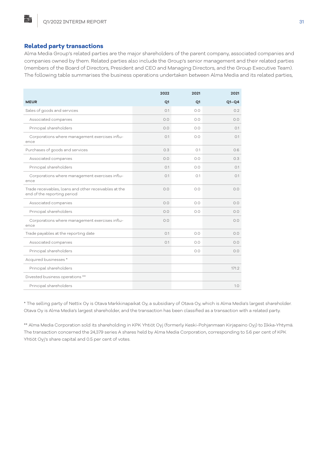#### **Related party transactions**

貼

Alma Media Group's related parties are the major shareholders of the parent company, associated companies and companies owned by them. Related parties also include the Group's senior management and their related parties (members of the Board of Directors, President and CEO and Managing Directors, and the Group Executive Team). The following table summarises the business operations undertaken between Alma Media and its related parties,

|                                                                                      | 2022           | 2021           | 2021    |
|--------------------------------------------------------------------------------------|----------------|----------------|---------|
| <b>MEUR</b>                                                                          | Q <sub>1</sub> | Q <sub>1</sub> | $Q1-Q4$ |
| Sales of goods and services                                                          | O.1            | 0.0            | 0.2     |
| Associated companies                                                                 | 0.0            | 0.0            | 0.0     |
| Principal shareholders                                                               | 0.0            | 0.0            | O.1     |
| Corporations where management exercises influ-<br>ence                               | O.1            | 0.0            | 0.1     |
| Purchases of goods and services                                                      | 0.3            | O.1            | 0.6     |
| Associated companies                                                                 | 0.0            | 0.0            | 0.3     |
| Principal shareholders                                                               | O.1            | 0.0            | O.1     |
| Corporations where management exercises influ-<br>ence                               | O.1            | O.1            | O.1     |
| Trade receivables, loans and other receivables at the<br>end of the reporting period | 0.0            | 0.0            | 0.0     |
| Associated companies                                                                 | 0.0            | 0.0            | 0.0     |
| Principal shareholders                                                               | 0.0            | 0.0            | 0.0     |
| Corporations where management exercises influ-<br>ence                               | 0.0            |                | 0.0     |
| Trade payables at the reporting date                                                 | O.1            | 0.0            | 0.0     |
| Associated companies                                                                 | O.1            | 0.0            | 0.0     |
| Principal shareholders                                                               |                | 0.0            | 0.0     |
| Acquired businesses *                                                                |                |                |         |
| Principal shareholders                                                               |                |                | 171.2   |
| Divested business operations **                                                      |                |                |         |
| Principal shareholders                                                               |                |                | 1.0     |

\* The selling party of Nettix Oy is Otava Markkinapaikat Oy, a subsidiary of Otava Oy, which is Alma Media's largest shareholder. Otava Oy is Alma Media's largest shareholder, and the transaction has been classified as a transaction with a related party.

\*\* Alma Media Corporation sold its shareholding in KPK Yhtiöt Oyj (formerly Keski-Pohjanmaan Kirjapaino Oyj) to Ilkka-Yhtymä. The transaction concerned the 24,379 series A shares held by Alma Media Corporation, corresponding to 5.6 per cent of KPK Yhtiöt Oyj's share capital and 0.5 per cent of votes.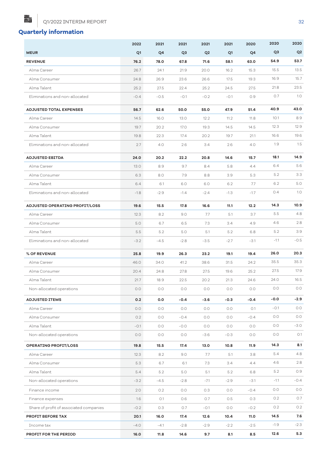Q1/2022 INTERIM REPORT 32

## **Quarterly information**

點

|                                         | 2022    | 2021   | 2021           | 2021           | 2021    | 2020    | 2020   | 2020           |
|-----------------------------------------|---------|--------|----------------|----------------|---------|---------|--------|----------------|
| <b>MEUR</b>                             | Q1      | Q4     | Q <sub>3</sub> | Q <sub>2</sub> | Q1      | Q4      | Q3     | Q <sub>2</sub> |
| <b>REVENUE</b>                          | 76.2    | 78.0   | 67.8           | 71.6           | 58.1    | 63.0    | 54.9   | 53.7           |
| Alma Career                             | 26.7    | 24.1   | 21.9           | 20.0           | 16.2    | 15.3    | 15.5   | 13.5           |
| Alma Consumer                           | 24.8    | 26.9   | 23.6           | 26.6           | 17.5    | 19.3    | 16.9   | 15.7           |
| Alma Talent                             | 25.2    | 27.5   | 22.4           | 25.2           | 24.5    | 27.5    | 21.8   | 23.5           |
| Eliminations and non-allocated          | $-0.4$  | $-0.5$ | $-0.1$         | $-0.2$         | $-0.1$  | 0.9     | 0.7    | 1.0            |
| <b>ADJUSTED TOTAL EXPENSES</b>          | 56.7    | 62.6   | 50.0           | 55.0           | 47.9    | 51.4    | 40.9   | 43.0           |
| Alma Career                             | 14.5    | 16.0   | 13.0           | 12.2           | 11.2    | 11.8    | 10.1   | 8.9            |
| Alma Consumer                           | 19.7    | 20.2   | 17.0           | 19.3           | 14.5    | 14.5    | 12.3   | 12.9           |
| Alma Talent                             | 19.8    | 22.3   | 17.4           | 20.2           | 19.7    | 21.1    | 16.6   | 19.6           |
| Eliminations and non-allocated          | 2.7     | 4.0    | 2.6            | 3.4            | 2.6     | 4.0     | 1.9    | 1.5            |
| <b>ADJUSTED EBITDA</b>                  | 24.0    | 20.2   | 22.2           | 20.8           | 14.6    | 15.7    | 18.1   | 14.9           |
| Alma Career                             | 13.0    | 8.9    | 9.7            | 8.4            | 5.8     | 4.4     | 6.4    | 5.6            |
| Alma Consumer                           | 6.3     | 8.0    | 7.9            | 8.8            | 3.9     | 5.3     | 5.2    | 3.3            |
| Alma Talent                             | 6.4     | 6.1    | 6.0            | 6.0            | 6.2     | 7.7     | 6.2    | 5.0            |
| Eliminations and non-allocated          | $-1.8$  | $-2.9$ | $-1.4$         | $-2.4$         | $-1.3$  | $-1.7$  | 0.4    | 1.0            |
| ADJUSTED OPERATING PROFIT/LOSS          | 19.6    | 15.5   | 17.8           | 16.6           | 11.1    | 12.2    | 14.3   | 10.9           |
| Alma Career                             | 12.3    | 8.2    | 9.0            | 7.7            | 5.1     | 3.7     | 5.5    | 4.8            |
| Alma Consumer                           | 5.0     | 6.7    | 6.5            | 7.3            | 3.4     | 4.9     | 4.6    | 2.8            |
| Alma Talent                             | 5.5     | 5.2    | 5.0            | 5.1            | 5.2     | 6.8     | 5.2    | 3.9            |
| Eliminations and non-allocated          | $-3.2$  | $-4.5$ | $-2.8$         | $-3.5$         | $-2.7$  | $-3.1$  | $-1.1$ | $-0.5$         |
| % OF REVENUE                            | 25.8    | 19.9   | 26.3           | 23.2           | 19.1    | 19.4    | 26.0   | 20.3           |
| Alma Career                             | 46.0    | 34.0   | 41.2           | 38.6           | 31.5    | 24.2    | 35.5   | 35.3           |
| Alma Consumer                           | 20.4    | 24.8   | 27.8           | 27.5           | 19.6    | 25.2    | 27.5   | 17.9           |
| Alma Talent                             | 21.7    | 18.9   | 22.5           | 20.2           | 21.3    | 24.6    | 24.0   | 16.5           |
| Non-allocated operations                | $0.0\,$ | $O.O$  | $0.0\,$        | $0.0\,$        | $0.0\,$ | $0.0\,$ | 0.0    | 0.0            |
| <b>ADJUSTED ITEMS</b>                   | 0.2     | 0.0    | $-0.4$         | $-3.6$         | $-0.3$  | $-0.4$  | $-0.0$ | $-2.9$         |
| Alma Career                             | 0.0     | O.O    | 0.0            | O.O            | 0.0     | O.1     | $-0.1$ | 0.0            |
| Alma Consumer                           | 0.2     | 0.0    | $-0.4$         | O.O            | 0.0     | $-0.4$  | 0.0    | 0.0            |
| Alma Talent                             | $-0.1$  | 0.0    | $-0.0$         | O.O            | O.O     | 0.0     | 0.0    | $-3.0$         |
| Non-allocated operations                | 0.0     | 0.0    | 0.0            | $-3.6$         | $-0.3$  | $O.O$   | 0.0    | O.1            |
| <b>OPERATING PROFIT/LOSS</b>            | 19.8    | 15.5   | 17.4           | 13.0           | 10.8    | 11.9    | 14.3   | 8.1            |
| Alma Career                             | 12.3    | 8.2    | 9.0            | 7.7            | 5.1     | 3.8     | 5.4    | 4.8            |
| Alma Consumer                           | 5.3     | 6.7    | 6.1            | 7.3            | 3.4     | 4.4     | 4.6    | 2.8            |
| Alma Talent                             | 5.4     | 5.2    | 5.0            | 5.1            | 5.2     | 6.8     | 5.2    | O.9            |
| Non-allocated operations                | $-3.2$  | $-4.5$ | $-2.8$         | $-7.1$         | $-2.9$  | $-3.1$  | $-1.1$ | $-0.4$         |
| Finance income                          | 2.0     | 0.2    | 0.0            | 0.3            | O.O     | $-0.4$  | 0.0    | 0.0            |
| Finance expenses                        | 1.6     | O.1    | 0.6            | 0.7            | 0.5     | 0.3     | 0.2    | 0.7            |
| Share of profit of associated companies | $-0.2$  | 0.3    | 0.7            | $-0.1$         | 0.0     | $-0.2$  | 0.2    | 0.2            |
| PROFIT BEFORE TAX                       | 20.1    | 16.0   | 17.4           | 12.6           | 10.4    | 11.0    | 14.5   | 7.6            |
| Income tax                              | $-4.0$  | $-4.1$ | $-2.8$         | $-2.9$         | $-2.2$  | $-2.5$  | $-1.9$ | $-2.3$         |
| PROFIT FOR THE PERIOD                   | 16.0    | 11.8   | 14.6           | 9.7            | 8.1     | 8.5     | 12.6   | 5.3            |